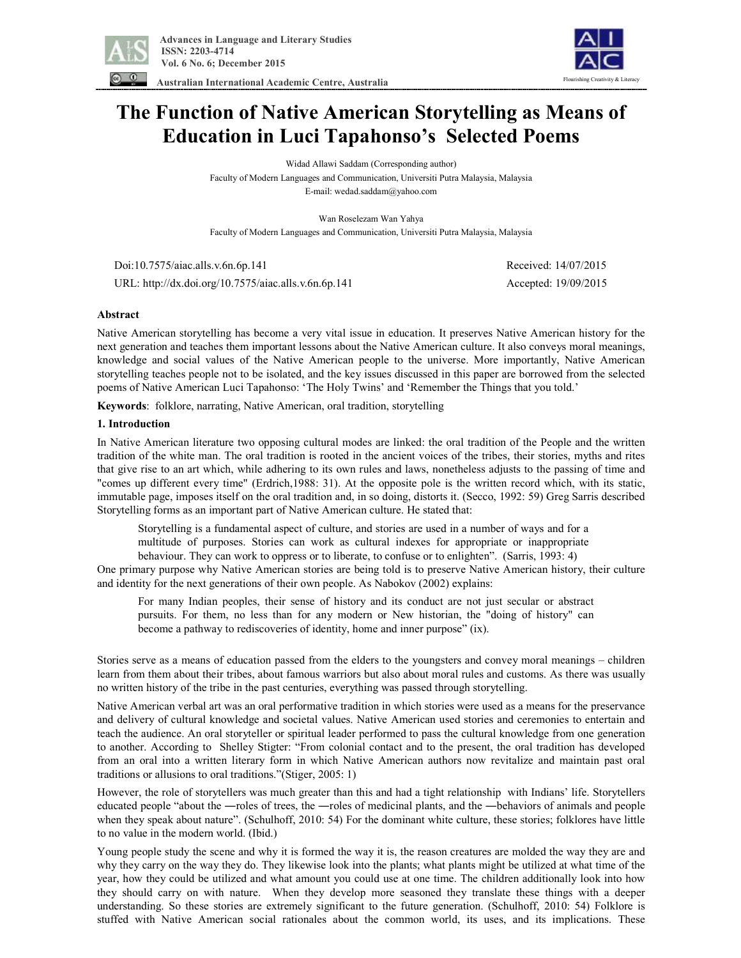

Flourishing Creativity & Literacy

 **Australian International Academic Centre, Australia** 

# **The Function of Native American Storytelling as Means of Education in Luci Tapahonso's Selected Poems**

Widad Allawi Saddam (Corresponding author) Faculty of Modern Languages and Communication, Universiti Putra Malaysia, Malaysia E-mail: wedad.saddam@yahoo.com

Wan Roselezam Wan Yahya Faculty of Modern Languages and Communication, Universiti Putra Malaysia, Malaysia

 Doi:10.7575/aiac.alls.v.6n.6p.141 Received: 14/07/2015 URL: http://dx.doi.org/10.7575/aiac.alls.v.6n.6p.141 Accepted: 19/09/2015

## **Abstract**

Native American storytelling has become a very vital issue in education. It preserves Native American history for the next generation and teaches them important lessons about the Native American culture. It also conveys moral meanings, knowledge and social values of the Native American people to the universe. More importantly, Native American storytelling teaches people not to be isolated, and the key issues discussed in this paper are borrowed from the selected poems of Native American Luci Tapahonso: 'The Holy Twins' and 'Remember the Things that you told.'

**Keywords**: folklore, narrating, Native American, oral tradition, storytelling

## **1. Introduction**

In Native American literature two opposing cultural modes are linked: the oral tradition of the People and the written tradition of the white man. The oral tradition is rooted in the ancient voices of the tribes, their stories, myths and rites that give rise to an art which, while adhering to its own rules and laws, nonetheless adjusts to the passing of time and "comes up different every time" (Erdrich,1988: 31). At the opposite pole is the written record which, with its static, immutable page, imposes itself on the oral tradition and, in so doing, distorts it. (Secco, 1992: 59) Greg Sarris described Storytelling forms as an important part of Native American culture. He stated that:

Storytelling is a fundamental aspect of culture, and stories are used in a number of ways and for a multitude of purposes. Stories can work as cultural indexes for appropriate or inappropriate behaviour. They can work to oppress or to liberate, to confuse or to enlighten". (Sarris, 1993: 4)

One primary purpose why Native American stories are being told is to preserve Native American history, their culture and identity for the next generations of their own people. As Nabokov (2002) explains:

For many Indian peoples, their sense of history and its conduct are not just secular or abstract pursuits. For them, no less than for any modern or New historian, the "doing of history" can become a pathway to rediscoveries of identity, home and inner purpose" (ix).

Stories serve as a means of education passed from the elders to the youngsters and convey moral meanings – children learn from them about their tribes, about famous warriors but also about moral rules and customs. As there was usually no written history of the tribe in the past centuries, everything was passed through storytelling.

Native American verbal art was an oral performative tradition in which stories were used as a means for the preservance and delivery of cultural knowledge and societal values. Native American used stories and ceremonies to entertain and teach the audience. An oral storyteller or spiritual leader performed to pass the cultural knowledge from one generation to another. According to Shelley Stigter: "From colonial contact and to the present, the oral tradition has developed from an oral into a written literary form in which Native American authors now revitalize and maintain past oral traditions or allusions to oral traditions."(Stiger, 2005: 1)

However, the role of storytellers was much greater than this and had a tight relationship with Indians' life. Storytellers educated people "about the ―roles of trees, the ―roles of medicinal plants, and the ―behaviors of animals and people when they speak about nature". (Schulhoff, 2010: 54) For the dominant white culture, these stories; folklores have little to no value in the modern world. (Ibid.)

Young people study the scene and why it is formed the way it is, the reason creatures are molded the way they are and why they carry on the way they do. They likewise look into the plants; what plants might be utilized at what time of the year, how they could be utilized and what amount you could use at one time. The children additionally look into how they should carry on with nature. When they develop more seasoned they translate these things with a deeper understanding. So these stories are extremely significant to the future generation. (Schulhoff, 2010: 54) Folklore is stuffed with Native American social rationales about the common world, its uses, and its implications. These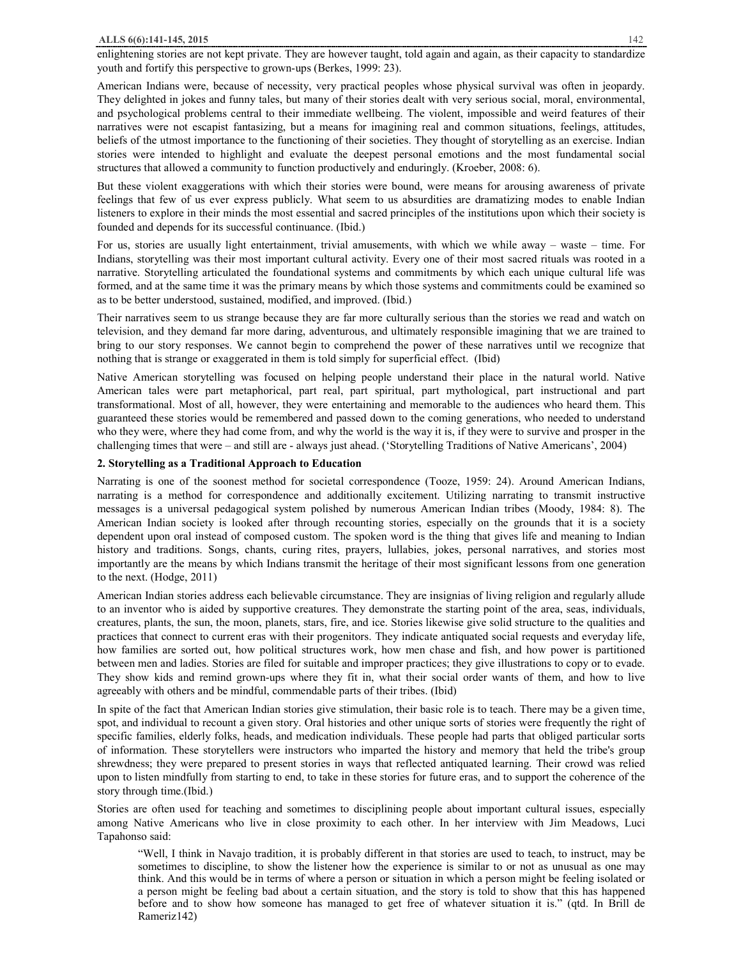enlightening stories are not kept private. They are however taught, told again and again, as their capacity to standardize youth and fortify this perspective to grown-ups (Berkes, 1999: 23).

American Indians were, because of necessity, very practical peoples whose physical survival was often in jeopardy. They delighted in jokes and funny tales, but many of their stories dealt with very serious social, moral, environmental, and psychological problems central to their immediate wellbeing. The violent, impossible and weird features of their narratives were not escapist fantasizing, but a means for imagining real and common situations, feelings, attitudes, beliefs of the utmost importance to the functioning of their societies. They thought of storytelling as an exercise. Indian stories were intended to highlight and evaluate the deepest personal emotions and the most fundamental social structures that allowed a community to function productively and enduringly. (Kroeber, 2008: 6).

But these violent exaggerations with which their stories were bound, were means for arousing awareness of private feelings that few of us ever express publicly. What seem to us absurdities are dramatizing modes to enable Indian listeners to explore in their minds the most essential and sacred principles of the institutions upon which their society is founded and depends for its successful continuance. (Ibid.)

For us, stories are usually light entertainment, trivial amusements, with which we while away – waste – time. For Indians, storytelling was their most important cultural activity. Every one of their most sacred rituals was rooted in a narrative. Storytelling articulated the foundational systems and commitments by which each unique cultural life was formed, and at the same time it was the primary means by which those systems and commitments could be examined so as to be better understood, sustained, modified, and improved. (Ibid.)

Their narratives seem to us strange because they are far more culturally serious than the stories we read and watch on television, and they demand far more daring, adventurous, and ultimately responsible imagining that we are trained to bring to our story responses. We cannot begin to comprehend the power of these narratives until we recognize that nothing that is strange or exaggerated in them is told simply for superficial effect. (Ibid)

Native American storytelling was focused on helping people understand their place in the natural world. Native American tales were part metaphorical, part real, part spiritual, part mythological, part instructional and part transformational. Most of all, however, they were entertaining and memorable to the audiences who heard them. This guaranteed these stories would be remembered and passed down to the coming generations, who needed to understand who they were, where they had come from, and why the world is the way it is, if they were to survive and prosper in the challenging times that were – and still are - always just ahead. ('Storytelling Traditions of Native Americans', 2004)

#### **2. Storytelling as a Traditional Approach to Education**

Narrating is one of the soonest method for societal correspondence (Tooze, 1959: 24). Around American Indians, narrating is a method for correspondence and additionally excitement. Utilizing narrating to transmit instructive messages is a universal pedagogical system polished by numerous American Indian tribes (Moody, 1984: 8). The American Indian society is looked after through recounting stories, especially on the grounds that it is a society dependent upon oral instead of composed custom. The spoken word is the thing that gives life and meaning to Indian history and traditions. Songs, chants, curing rites, prayers, lullabies, jokes, personal narratives, and stories most importantly are the means by which Indians transmit the heritage of their most significant lessons from one generation to the next. (Hodge, 2011)

American Indian stories address each believable circumstance. They are insignias of living religion and regularly allude to an inventor who is aided by supportive creatures. They demonstrate the starting point of the area, seas, individuals, creatures, plants, the sun, the moon, planets, stars, fire, and ice. Stories likewise give solid structure to the qualities and practices that connect to current eras with their progenitors. They indicate antiquated social requests and everyday life, how families are sorted out, how political structures work, how men chase and fish, and how power is partitioned between men and ladies. Stories are filed for suitable and improper practices; they give illustrations to copy or to evade. They show kids and remind grown-ups where they fit in, what their social order wants of them, and how to live agreeably with others and be mindful, commendable parts of their tribes. (Ibid)

In spite of the fact that American Indian stories give stimulation, their basic role is to teach. There may be a given time, spot, and individual to recount a given story. Oral histories and other unique sorts of stories were frequently the right of specific families, elderly folks, heads, and medication individuals. These people had parts that obliged particular sorts of information. These storytellers were instructors who imparted the history and memory that held the tribe's group shrewdness; they were prepared to present stories in ways that reflected antiquated learning. Their crowd was relied upon to listen mindfully from starting to end, to take in these stories for future eras, and to support the coherence of the story through time.(Ibid.)

Stories are often used for teaching and sometimes to disciplining people about important cultural issues, especially among Native Americans who live in close proximity to each other. In her interview with Jim Meadows, Luci Tapahonso said:

"Well, I think in Navajo tradition, it is probably different in that stories are used to teach, to instruct, may be sometimes to discipline, to show the listener how the experience is similar to or not as unusual as one may think. And this would be in terms of where a person or situation in which a person might be feeling isolated or a person might be feeling bad about a certain situation, and the story is told to show that this has happened before and to show how someone has managed to get free of whatever situation it is." (qtd. In Brill de Rameriz142)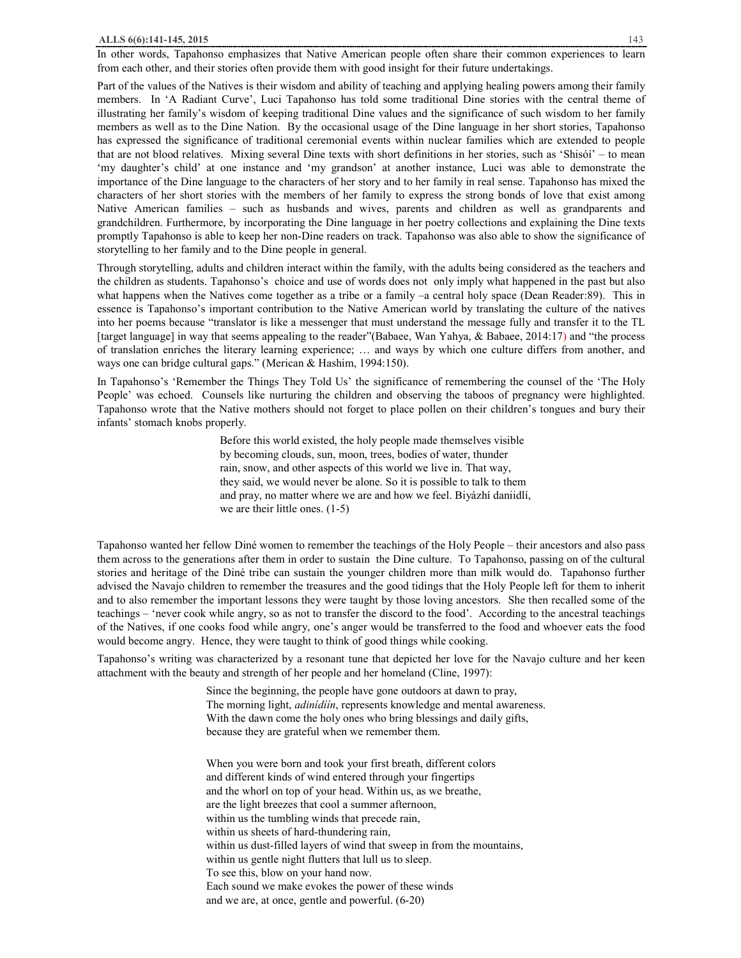In other words, Tapahonso emphasizes that Native American people often share their common experiences to learn from each other, and their stories often provide them with good insight for their future undertakings.

Part of the values of the Natives is their wisdom and ability of teaching and applying healing powers among their family members. In 'A Radiant Curve', Luci Tapahonso has told some traditional Dine stories with the central theme of illustrating her family's wisdom of keeping traditional Dine values and the significance of such wisdom to her family members as well as to the Dine Nation. By the occasional usage of the Dine language in her short stories, Tapahonso has expressed the significance of traditional ceremonial events within nuclear families which are extended to people that are not blood relatives. Mixing several Dine texts with short definitions in her stories, such as 'Shisóí' – to mean 'my daughter's child' at one instance and 'my grandson' at another instance, Luci was able to demonstrate the importance of the Dine language to the characters of her story and to her family in real sense. Tapahonso has mixed the characters of her short stories with the members of her family to express the strong bonds of love that exist among Native American families – such as husbands and wives, parents and children as well as grandparents and grandchildren. Furthermore, by incorporating the Dine language in her poetry collections and explaining the Dine texts promptly Tapahonso is able to keep her non-Dine readers on track. Tapahonso was also able to show the significance of storytelling to her family and to the Dine people in general.

Through storytelling, adults and children interact within the family, with the adults being considered as the teachers and the children as students. Tapahonso's choice and use of words does not only imply what happened in the past but also what happens when the Natives come together as a tribe or a family –a central holy space (Dean Reader:89). This in essence is Tapahonso's important contribution to the Native American world by translating the culture of the natives into her poems because "translator is like a messenger that must understand the message fully and transfer it to the TL [target language] in way that seems appealing to the reader"(Babaee, Wan Yahya, & Babaee, 2014:17) and "the process of translation enriches the literary learning experience; … and ways by which one culture differs from another, and ways one can bridge cultural gaps." (Merican & Hashim, 1994:150).

In Tapahonso's 'Remember the Things They Told Us' the significance of remembering the counsel of the 'The Holy People' was echoed. Counsels like nurturing the children and observing the taboos of pregnancy were highlighted. Tapahonso wrote that the Native mothers should not forget to place pollen on their children's tongues and bury their infants' stomach knobs properly.

> Before this world existed, the holy people made themselves visible by becoming clouds, sun, moon, trees, bodies of water, thunder rain, snow, and other aspects of this world we live in. That way, they said, we would never be alone. So it is possible to talk to them and pray, no matter where we are and how we feel. Biyázhí daniidlí, we are their little ones. (1-5)

Tapahonso wanted her fellow Diné women to remember the teachings of the Holy People – their ancestors and also pass them across to the generations after them in order to sustain the Dine culture. To Tapahonso, passing on of the cultural stories and heritage of the Diné tribe can sustain the younger children more than milk would do. Tapahonso further advised the Navajo children to remember the treasures and the good tidings that the Holy People left for them to inherit and to also remember the important lessons they were taught by those loving ancestors. She then recalled some of the teachings – 'never cook while angry, so as not to transfer the discord to the food'. According to the ancestral teachings of the Natives, if one cooks food while angry, one's anger would be transferred to the food and whoever eats the food would become angry. Hence, they were taught to think of good things while cooking.

Tapahonso's writing was characterized by a resonant tune that depicted her love for the Navajo culture and her keen attachment with the beauty and strength of her people and her homeland (Cline, 1997):

> Since the beginning, the people have gone outdoors at dawn to pray, The morning light, *adinídíín*, represents knowledge and mental awareness. With the dawn come the holy ones who bring blessings and daily gifts, because they are grateful when we remember them.

When you were born and took your first breath, different colors and different kinds of wind entered through your fingertips and the whorl on top of your head. Within us, as we breathe, are the light breezes that cool a summer afternoon, within us the tumbling winds that precede rain, within us sheets of hard-thundering rain, within us dust-filled layers of wind that sweep in from the mountains, within us gentle night flutters that lull us to sleep. To see this, blow on your hand now. Each sound we make evokes the power of these winds and we are, at once, gentle and powerful. (6-20)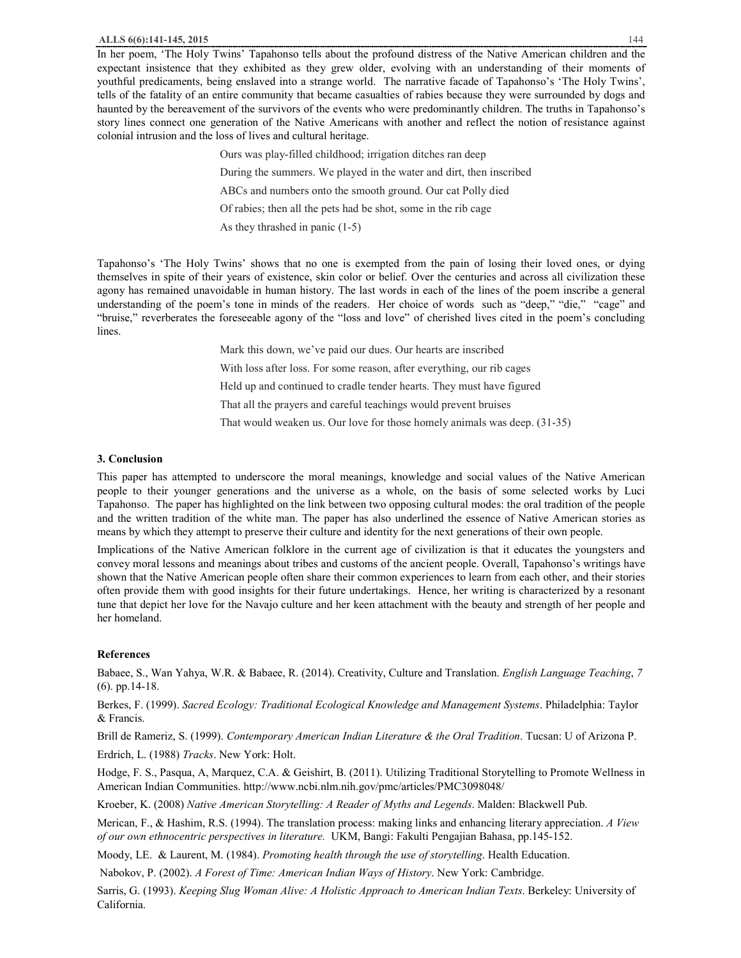In her poem, 'The Holy Twins' Tapahonso tells about the profound distress of the Native American children and the expectant insistence that they exhibited as they grew older, evolving with an understanding of their moments of youthful predicaments, being enslaved into a strange world. The narrative facade of Tapahonso's 'The Holy Twins', tells of the fatality of an entire community that became casualties of rabies because they were surrounded by dogs and haunted by the bereavement of the survivors of the events who were predominantly children. The truths in Tapahonso's story lines connect one generation of the Native Americans with another and reflect the notion of resistance against colonial intrusion and the loss of lives and cultural heritage.

> Ours was play-filled childhood; irrigation ditches ran deep During the summers. We played in the water and dirt, then inscribed ABCs and numbers onto the smooth ground. Our cat Polly died Of rabies; then all the pets had be shot, some in the rib cage As they thrashed in panic (1-5)

Tapahonso's 'The Holy Twins' shows that no one is exempted from the pain of losing their loved ones, or dying themselves in spite of their years of existence, skin color or belief. Over the centuries and across all civilization these agony has remained unavoidable in human history. The last words in each of the lines of the poem inscribe a general understanding of the poem's tone in minds of the readers. Her choice of words such as "deep," "die," "cage" and "bruise," reverberates the foreseeable agony of the "loss and love" of cherished lives cited in the poem's concluding lines.

> Mark this down, we've paid our dues. Our hearts are inscribed With loss after loss. For some reason, after everything, our rib cages Held up and continued to cradle tender hearts. They must have figured That all the prayers and careful teachings would prevent bruises That would weaken us. Our love for those homely animals was deep. (31-35)

## **3. Conclusion**

This paper has attempted to underscore the moral meanings, knowledge and social values of the Native American people to their younger generations and the universe as a whole, on the basis of some selected works by Luci Tapahonso. The paper has highlighted on the link between two opposing cultural modes: the oral tradition of the people and the written tradition of the white man. The paper has also underlined the essence of Native American stories as means by which they attempt to preserve their culture and identity for the next generations of their own people.

Implications of the Native American folklore in the current age of civilization is that it educates the youngsters and convey moral lessons and meanings about tribes and customs of the ancient people. Overall, Tapahonso's writings have shown that the Native American people often share their common experiences to learn from each other, and their stories often provide them with good insights for their future undertakings. Hence, her writing is characterized by a resonant tune that depict her love for the Navajo culture and her keen attachment with the beauty and strength of her people and her homeland.

## **References**

Babaee, S., Wan Yahya, W.R. & Babaee, R. (2014). Creativity, Culture and Translation. *English Language Teaching*, *7*  (6). pp.14-18.

Berkes, F. (1999). *Sacred Ecology: Traditional Ecological Knowledge and Management Systems*. Philadelphia: Taylor & Francis.

Brill de Rameriz, S. (1999). *Contemporary American Indian Literature & the Oral Tradition*. Tucsan: U of Arizona P. Erdrich, L. (1988) *Tracks*. New York: Holt.

Hodge, F. S., Pasqua, A, Marquez, C.A. & Geishirt, B. (2011). Utilizing Traditional Storytelling to Promote Wellness in American Indian Communities. http://www.ncbi.nlm.nih.gov/pmc/articles/PMC3098048/

Kroeber, K. (2008) *Native American Storytelling: A Reader of Myths and Legends*. Malden: Blackwell Pub.

Merican, F., & Hashim, R.S. (1994). The translation process: making links and enhancing literary appreciation. *A View of our own ethnocentric perspectives in literature.* UKM, Bangi: Fakulti Pengajian Bahasa, pp.145-152.

Moody, LE. & Laurent, M. (1984). *Promoting health through the use of storytelling*. Health Education.

Nabokov, P. (2002). *A Forest of Time: American Indian Ways of History*. New York: Cambridge.

Sarris, G. (1993). *Keeping Slug Woman Alive: A Holistic Approach to American Indian Texts*. Berkeley: University of California.